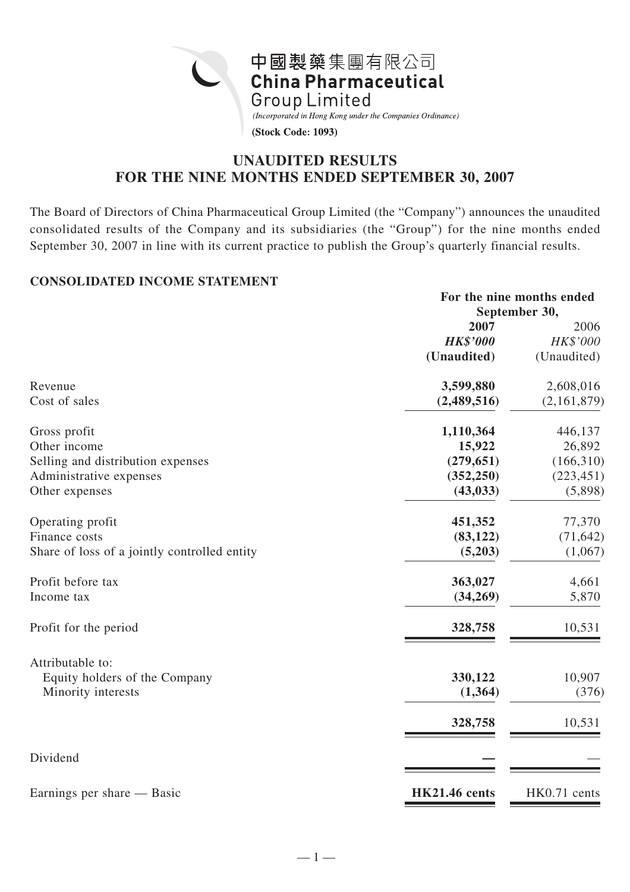

# **UNAUDITED RESULTS FOR THE NINE MONTHS ENDED SEPTEMBER 30, 2007**

The Board of Directors of China Pharmaceutical Group Limited (the "Company") announces the unaudited consolidated results of the Company and its subsidiaries (the "Group") for the nine months ended September 30, 2007 in line with its current practice to publish the Group's quarterly financial results.

#### **CONSOLIDATED INCOME STATEMENT**

|                                              | For the nine months ended<br>September 30, |              |  |
|----------------------------------------------|--------------------------------------------|--------------|--|
|                                              | 2007                                       | 2006         |  |
|                                              | <b>HK\$'000</b>                            | HK\$'000     |  |
|                                              | (Unaudited)                                | (Unaudited)  |  |
| Revenue                                      | 3,599,880                                  | 2,608,016    |  |
| Cost of sales                                | (2,489,516)                                | (2,161,879)  |  |
| Gross profit                                 | 1,110,364                                  | 446,137      |  |
| Other income                                 | 15,922                                     | 26,892       |  |
| Selling and distribution expenses            | (279, 651)                                 | (166,310)    |  |
| Administrative expenses                      | (352, 250)                                 | (223, 451)   |  |
| Other expenses                               | (43, 033)                                  | (5,898)      |  |
| Operating profit                             | 451,352                                    | 77,370       |  |
| Finance costs                                | (83, 122)                                  | (71, 642)    |  |
| Share of loss of a jointly controlled entity | (5,203)                                    | (1,067)      |  |
| Profit before tax                            | 363,027                                    | 4,661        |  |
| Income tax                                   | (34,269)                                   | 5,870        |  |
| Profit for the period                        | 328,758                                    | 10,531       |  |
| Attributable to:                             |                                            |              |  |
| Equity holders of the Company                | 330,122                                    | 10,907       |  |
| Minority interests                           | (1, 364)                                   | (376)        |  |
|                                              | 328,758                                    | 10,531       |  |
| Dividend                                     |                                            |              |  |
| Earnings per share — Basic                   | <b>HK21.46</b> cents                       | HK0.71 cents |  |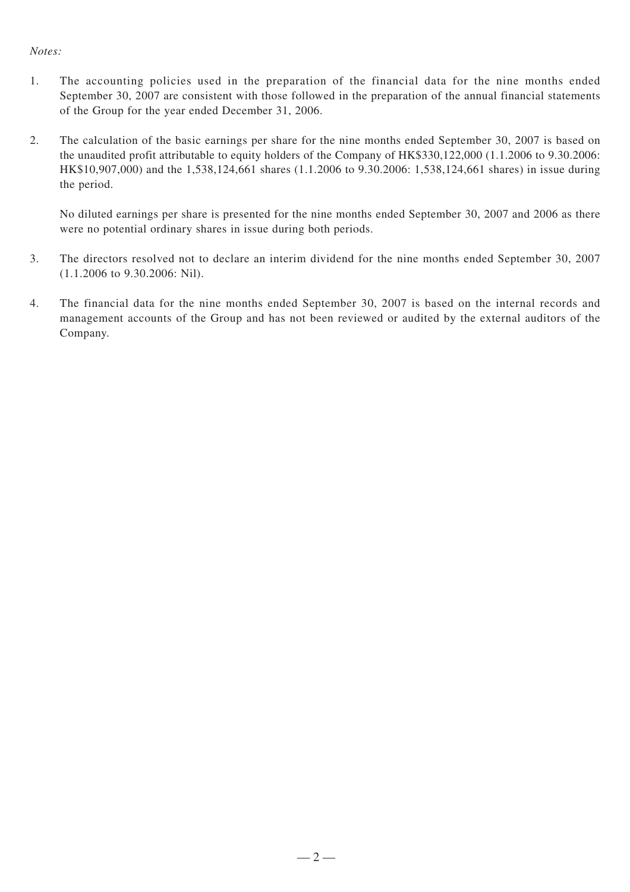#### *Notes:*

- 1. The accounting policies used in the preparation of the financial data for the nine months ended September 30, 2007 are consistent with those followed in the preparation of the annual financial statements of the Group for the year ended December 31, 2006.
- 2. The calculation of the basic earnings per share for the nine months ended September 30, 2007 is based on the unaudited profit attributable to equity holders of the Company of HK\$330,122,000 (1.1.2006 to 9.30.2006: HK\$10,907,000) and the 1,538,124,661 shares (1.1.2006 to 9.30.2006: 1,538,124,661 shares) in issue during the period.

No diluted earnings per share is presented for the nine months ended September 30, 2007 and 2006 as there were no potential ordinary shares in issue during both periods.

- 3. The directors resolved not to declare an interim dividend for the nine months ended September 30, 2007 (1.1.2006 to 9.30.2006: Nil).
- 4. The financial data for the nine months ended September 30, 2007 is based on the internal records and management accounts of the Group and has not been reviewed or audited by the external auditors of the Company.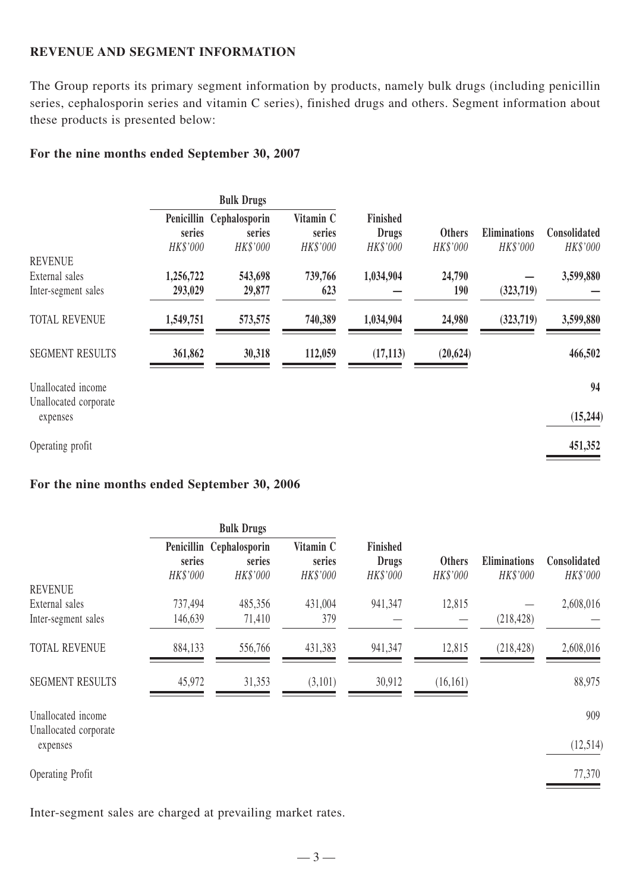# **REVENUE AND SEGMENT INFORMATION**

The Group reports its primary segment information by products, namely bulk drugs (including penicillin series, cephalosporin series and vitamin C series), finished drugs and others. Segment information about these products is presented below:

#### **For the nine months ended September 30, 2007**

|                                   | <b>Bulk Drugs</b> |                          |                    |                          |               |                     |              |
|-----------------------------------|-------------------|--------------------------|--------------------|--------------------------|---------------|---------------------|--------------|
|                                   | series            | Penicillin Cephalosporin | Vitamin C          | Finished                 | <b>Others</b> | <b>Eliminations</b> | Consolidated |
|                                   | HK\$'000          | series<br>HK\$'000       | series<br>HK\$'000 | <b>Drugs</b><br>HK\$'000 | HK\$'000      | HK\$'000            | HK\$'000     |
| <b>REVENUE</b>                    |                   |                          |                    |                          |               |                     |              |
| External sales                    | 1,256,722         | 543,698                  | 739,766            | 1,034,904                | 24,790        |                     | 3,599,880    |
| Inter-segment sales               | 293,029           | 29,877                   | 623                |                          | 190           | (323,719)           |              |
| <b>TOTAL REVENUE</b>              | 1,549,751         | 573,575                  | 740,389            | 1,034,904                | 24,980        | (323,719)           | 3,599,880    |
| <b>SEGMENT RESULTS</b>            | 361,862           | 30,318                   | 112,059            | (17, 113)                | (20, 624)     |                     | 466,502      |
| Unallocated income                |                   |                          |                    |                          |               |                     | 94           |
| Unallocated corporate<br>expenses |                   |                          |                    |                          |               |                     | (15, 244)    |
| Operating profit                  |                   |                          |                    |                          |               |                     | 451,352      |

# **For the nine months ended September 30, 2006**

|                                             | <b>Bulk Drugs</b>  |                                                |                                 |                                      |                           |                                 |                          |
|---------------------------------------------|--------------------|------------------------------------------------|---------------------------------|--------------------------------------|---------------------------|---------------------------------|--------------------------|
|                                             | series<br>HK\$'000 | Penicillin Cephalosporin<br>series<br>HK\$'000 | Vitamin C<br>series<br>HK\$'000 | Finished<br><b>Drugs</b><br>HK\$'000 | <b>Others</b><br>HK\$'000 | <b>Eliminations</b><br>HK\$'000 | Consolidated<br>HK\$'000 |
| <b>REVENUE</b>                              |                    |                                                |                                 |                                      |                           |                                 |                          |
| External sales                              | 737,494            | 485,356                                        | 431,004                         | 941,347                              | 12,815                    |                                 | 2,608,016                |
| Inter-segment sales                         | 146,639            | 71,410                                         | 379                             |                                      |                           | (218, 428)                      |                          |
| <b>TOTAL REVENUE</b>                        | 884,133            | 556,766                                        | 431,383                         | 941,347                              | 12,815                    | (218, 428)                      | 2,608,016                |
| <b>SEGMENT RESULTS</b>                      | 45,972             | 31,353                                         | (3,101)                         | 30,912                               | (16,161)                  |                                 | 88,975                   |
| Unallocated income<br>Unallocated corporate |                    |                                                |                                 |                                      |                           |                                 | 909                      |
| expenses                                    |                    |                                                |                                 |                                      |                           |                                 | (12,514)                 |
| <b>Operating Profit</b>                     |                    |                                                |                                 |                                      |                           |                                 | 77,370                   |

Inter-segment sales are charged at prevailing market rates.